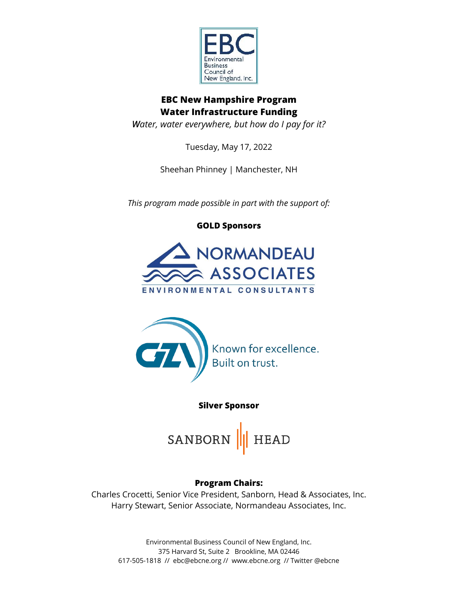

# **EBC New Hampshire Program Water Infrastructure Funding**

*Water, water everywhere, but how do I pay for it?*

Tuesday, May 17, 2022

Sheehan Phinney | Manchester, NH

*This program made possible in part with the support of:*

**GOLD Sponsors**





**Silver Sponsor**

SANBORN **HEAD** 

# **Program Chairs:**

Charles Crocetti, Senior Vice President, Sanborn, Head & Associates, Inc. Harry Stewart, Senior Associate, Normandeau Associates, Inc.

Environmental Business Council of New England, Inc. 375 Harvard St, Suite 2 Brookline, MA 02446 617-505-1818 // ebc@ebcne.org // www.ebcne.org // Twitter @ebcne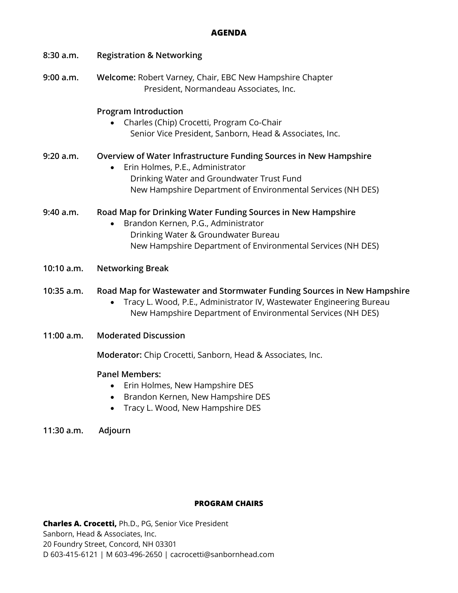### **AGENDA**

| 8:30a.m.   | <b>Registration &amp; Networking</b>                                                                                                                                                                              |
|------------|-------------------------------------------------------------------------------------------------------------------------------------------------------------------------------------------------------------------|
| 9:00 a.m.  | Welcome: Robert Varney, Chair, EBC New Hampshire Chapter<br>President, Normandeau Associates, Inc.                                                                                                                |
|            | <b>Program Introduction</b><br>Charles (Chip) Crocetti, Program Co-Chair<br>Senior Vice President, Sanborn, Head & Associates, Inc.                                                                               |
| 9:20 a.m.  | Overview of Water Infrastructure Funding Sources in New Hampshire<br>Erin Holmes, P.E., Administrator<br>Drinking Water and Groundwater Trust Fund<br>New Hampshire Department of Environmental Services (NH DES) |
| 9:40 a.m.  | Road Map for Drinking Water Funding Sources in New Hampshire<br>Brandon Kernen, P.G., Administrator<br>Drinking Water & Groundwater Bureau<br>New Hampshire Department of Environmental Services (NH DES)         |
| 10:10 a.m. | <b>Networking Break</b>                                                                                                                                                                                           |
| 10:35 a.m. | Road Map for Wastewater and Stormwater Funding Sources in New Hampshire<br>Tracy L. Wood, P.E., Administrator IV, Wastewater Engineering Bureau<br>New Hampshire Department of Environmental Services (NH DES)    |
| 11:00 a.m. | <b>Moderated Discussion</b>                                                                                                                                                                                       |
|            | Moderator: Chip Crocetti, Sanborn, Head & Associates, Inc.                                                                                                                                                        |
|            | <b>Panel Members:</b><br>Erin Holmes, New Hampshire DES<br>Brandon Kernen, New Hampshire DES<br>$\bullet$<br>Tracy L. Wood, New Hampshire DES                                                                     |

**11:30 a.m. Adjourn**

# **PROGRAM CHAIRS**

**Charles A. Crocetti,** Ph.D., PG, Senior Vice President Sanborn, Head & Associates, Inc. 20 Foundry Street, Concord, NH 03301 D 603-415-6121 | M 603-496-2650 | cacrocetti@sanbornhead.com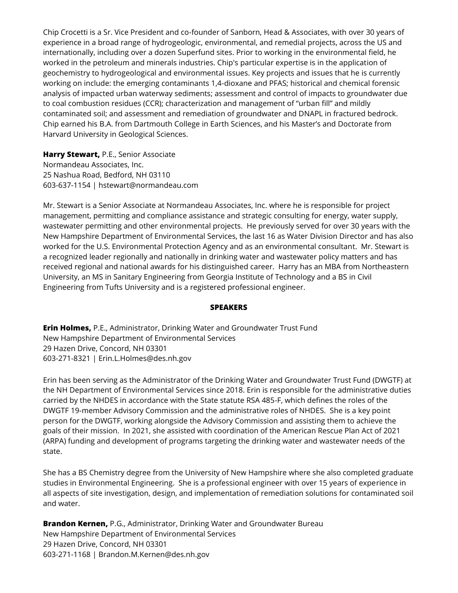Chip Crocetti is a Sr. Vice President and co-founder of Sanborn, Head & Associates, with over 30 years of experience in a broad range of hydrogeologic, environmental, and remedial projects, across the US and internationally, including over a dozen Superfund sites. Prior to working in the environmental field, he worked in the petroleum and minerals industries. Chip's particular expertise is in the application of geochemistry to hydrogeological and environmental issues. Key projects and issues that he is currently working on include: the emerging contaminants 1,4-dioxane and PFAS; historical and chemical forensic analysis of impacted urban waterway sediments; assessment and control of impacts to groundwater due to coal combustion residues (CCR); characterization and management of "urban fill" and mildly contaminated soil; and assessment and remediation of groundwater and DNAPL in fractured bedrock. Chip earned his B.A. from Dartmouth College in Earth Sciences, and his Master's and Doctorate from Harvard University in Geological Sciences.

**Harry Stewart,** P.E., Senior Associate Normandeau Associates, Inc. 25 Nashua Road, Bedford, NH 03110 603-637-1154 | hstewart@normandeau.com

Mr. Stewart is a Senior Associate at Normandeau Associates, Inc. where he is responsible for project management, permitting and compliance assistance and strategic consulting for energy, water supply, wastewater permitting and other environmental projects. He previously served for over 30 years with the New Hampshire Department of Environmental Services, the last 16 as Water Division Director and has also worked for the U.S. Environmental Protection Agency and as an environmental consultant. Mr. Stewart is a recognized leader regionally and nationally in drinking water and wastewater policy matters and has received regional and national awards for his distinguished career. Harry has an MBA from Northeastern University, an MS in Sanitary Engineering from Georgia Institute of Technology and a BS in Civil Engineering from Tufts University and is a registered professional engineer.

#### **SPEAKERS**

**Erin Holmes,** P.E., Administrator, Drinking Water and Groundwater Trust Fund New Hampshire Department of Environmental Services 29 Hazen Drive, Concord, NH 03301 603-271-8321 | Erin.L.Holmes@des.nh.gov

Erin has been serving as the Administrator of the Drinking Water and Groundwater Trust Fund (DWGTF) at the NH Department of Environmental Services since 2018. Erin is responsible for the administrative duties carried by the NHDES in accordance with the State statute RSA 485-F, which defines the roles of the DWGTF 19-member Advisory Commission and the administrative roles of NHDES. She is a key point person for the DWGTF, working alongside the Advisory Commission and assisting them to achieve the goals of their mission. In 2021, she assisted with coordination of the American Rescue Plan Act of 2021 (ARPA) funding and development of programs targeting the drinking water and wastewater needs of the state.

She has a BS Chemistry degree from the University of New Hampshire where she also completed graduate studies in Environmental Engineering. She is a professional engineer with over 15 years of experience in all aspects of site investigation, design, and implementation of remediation solutions for contaminated soil and water.

**Brandon Kernen,** P.G., Administrator, Drinking Water and Groundwater Bureau New Hampshire Department of Environmental Services 29 Hazen Drive, Concord, NH 03301 603-271-1168 | Brandon.M.Kernen@des.nh.gov